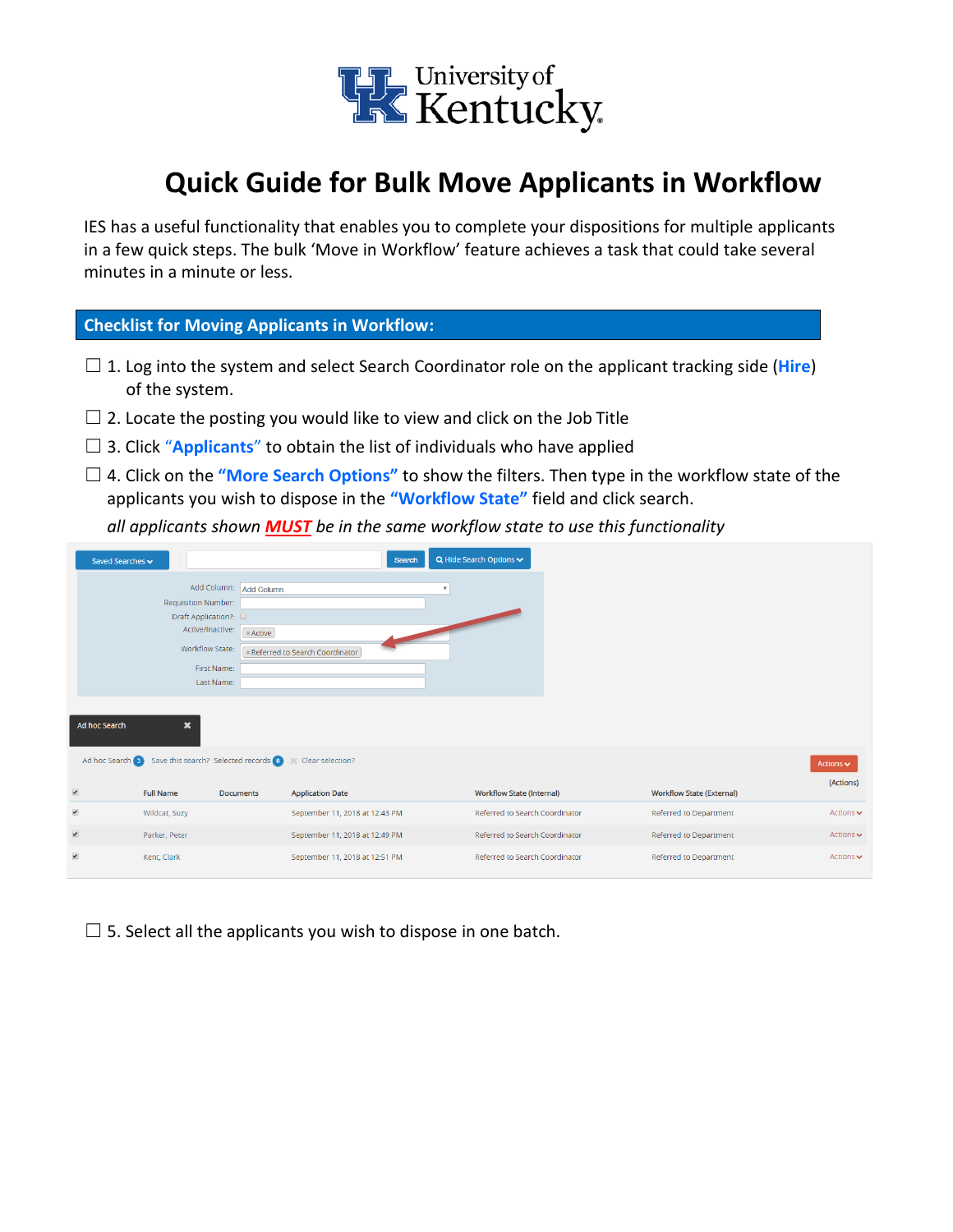

## **Quick Guide for Bulk Move Applicants in Workflow**

IES has a useful functionality that enables you to complete your dispositions for multiple applicants in a few quick steps. The bulk 'Move in Workflow' feature achieves a task that could take several minutes in a minute or less.

## **Checklist for Moving Applicants in Workflow:**

- ☐ 1. Log into the system and select Search Coordinator role on the applicant tracking side (**Hire**) of the system.
- $\Box$  2. Locate the posting you would like to view and click on the Job Title
- □ 3. Click "**Applicants**" to obtain the list of individuals who have applied
- ☐ 4. Click on the **"More Search Options"** to show the filters. Then type in the workflow state of the applicants you wish to dispose in the **"Workflow State"** field and click search.

*all applicants shown MUST be in the same workflow state to use this functionality*

| Saved Searches v                           |                  |                                                                                                                |                                                                                                                                                  | $Q$ Hide Search Options $\blacktriangleright$ |
|--------------------------------------------|------------------|----------------------------------------------------------------------------------------------------------------|--------------------------------------------------------------------------------------------------------------------------------------------------|-----------------------------------------------|
|                                            |                  |                                                                                                                |                                                                                                                                                  | ٠                                             |
|                                            |                  |                                                                                                                |                                                                                                                                                  |                                               |
|                                            |                  |                                                                                                                |                                                                                                                                                  |                                               |
|                                            |                  |                                                                                                                |                                                                                                                                                  |                                               |
|                                            |                  |                                                                                                                |                                                                                                                                                  |                                               |
|                                            |                  |                                                                                                                |                                                                                                                                                  |                                               |
|                                            |                  |                                                                                                                |                                                                                                                                                  |                                               |
|                                            |                  |                                                                                                                |                                                                                                                                                  |                                               |
| Ad hoc Search<br>$\boldsymbol{\mathsf{x}}$ |                  |                                                                                                                |                                                                                                                                                  |                                               |
|                                            |                  | Clear selection?                                                                                               |                                                                                                                                                  |                                               |
|                                            |                  |                                                                                                                |                                                                                                                                                  |                                               |
| <b>Full Name</b>                           | <b>Documents</b> | <b>Application Date</b>                                                                                        |                                                                                                                                                  | <b>Workflow State (Internal)</b>              |
| Wildcat, Suzy                              |                  | September 11, 2018 at 12:43 PM                                                                                 |                                                                                                                                                  | Referred to Search Coordinator                |
|                                            |                  |                                                                                                                |                                                                                                                                                  |                                               |
| Parker, Peter                              |                  | September 11, 2018 at 12:49 PM                                                                                 |                                                                                                                                                  | Referred to Search Coordinator                |
|                                            |                  | Requisition Number:<br>Draft Application?:<br>Active/Inactive:<br>Workflow State:<br>First Name:<br>Last Name: | Add Column: Add Column<br>$\times$ Active<br><b>× Referred to Search Coordinator</b><br>Ad hoc Search (3) Save this search? Selected records (0) | Search                                        |

 $\Box$  5. Select all the applicants you wish to dispose in one batch.